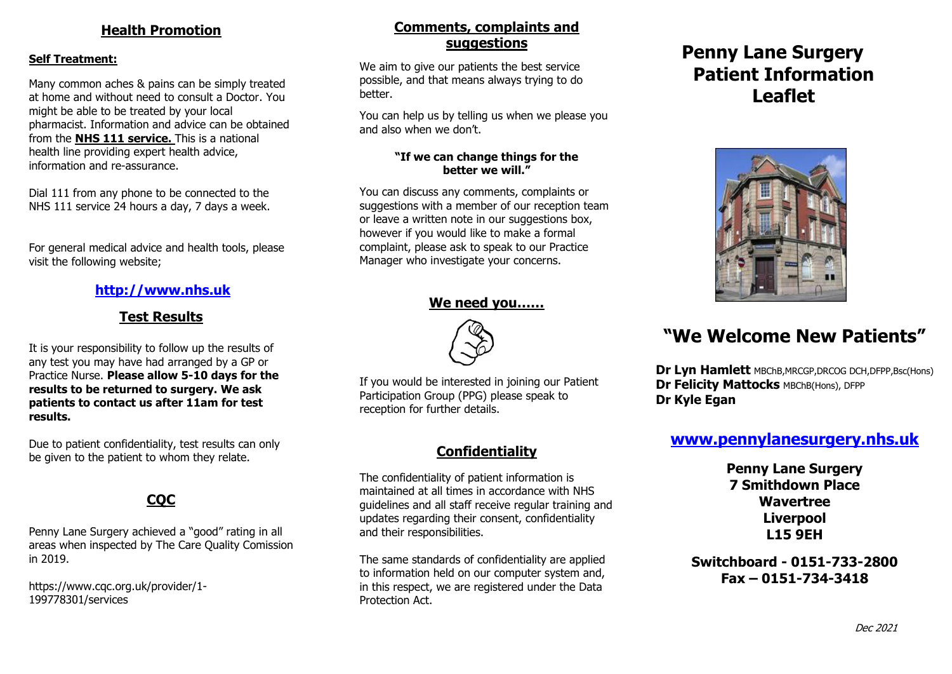### **Health Promotion**

#### **Self Treatment:**

 might be able to be treated by your local Many common aches & pains can be simply treated at home and without need to consult a Doctor. You pharmacist. Information and advice can be obtained from the **NHS 111 service.** This is a national health line providing expert health advice, information and re-assurance.

Dial 111 from any phone to be connected to the NHS 111 service 24 hours a day, 7 days a week.

For general medical advice and health tools, please visit the following website;

## **[http://www.nhs.uk](http://www.nhs.uk/)**

## **Test Results**

It is your responsibility to follow up the results of any test you may have had arranged by a GP or Practice Nurse. **Please allow 5-10 days for the results to be returned to surgery. We ask patients to contact us after 11am for test results.**

Due to patient confidentiality, test results can only be given to the patient to whom they relate.

# **CQC**

Penny Lane Surgery achieved a "good" rating in all areas when inspected by The Care Quality Comission in 2019.

https://www.cqc.org.uk/provider/1- 199778301/services

## **Comments, complaints and suggestions**

We aim to give our patients the best service possible, and that means always trying to do better.

You can help us by telling us when we please you and also when we don't.

#### **"If we can change things for the better we will."**

You can discuss any comments, complaints or suggestions with a member of our reception team or leave a written note in our suggestions box, however if you would like to make a formal complaint, please ask to speak to our Practice Manager who investigate your concerns.

#### **We need you……**



If you would be interested in joining our Patient Participation Group (PPG) please speak to reception for further details.

## **Confidentiality**

The confidentiality of patient information is maintained at all times in accordance with NHS guidelines and all staff receive regular training and updates regarding their consent, confidentiality and their responsibilities.

The same standards of confidentiality are applied to information held on our computer system and, in this respect, we are registered under the Data Protection Act.

# **Penny Lane Surgery Patient Information Leaflet**



# **"We Welcome New Patients"**

 **Dr Lyn Hamlett** MBChB,MRCGP,DRCOG DCH,DFPP,Bsc(Hons) **Dr Felicity Mattocks MBChB(Hons), DFPP Dr Kyle Egan**

# **[www.pennylanesurgery.nhs.uk](http://www.pennylanesurgery.nhs.uk/)**

**Penny Lane Surgery 7 Smithdown Place Wavertree Liverpool L15 9EH**

**Switchboard - 0151-733-2800 Fax – 0151-734-3418**